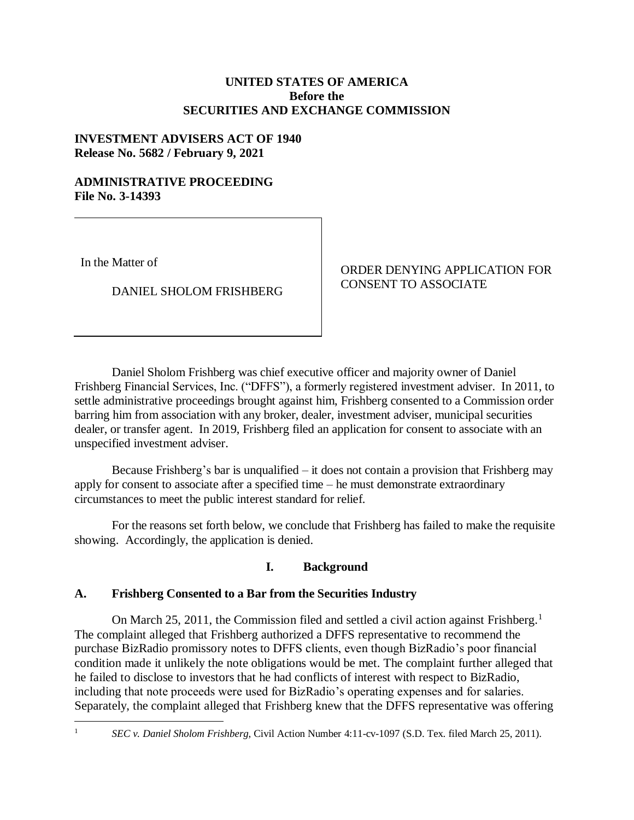## **UNITED STATES OF AMERICA Before the SECURITIES AND EXCHANGE COMMISSION**

## **INVESTMENT ADVISERS ACT OF 1940 Release No. 5682 / February 9, 2021**

#### **ADMINISTRATIVE PROCEEDING File No. 3-14393**

In the Matter of

DANIEL SHOLOM FRISHBERG

ORDER DENYING APPLICATION FOR CONSENT TO ASSOCIATE

Daniel Sholom Frishberg was chief executive officer and majority owner of Daniel Frishberg Financial Services, Inc. ("DFFS"), a formerly registered investment adviser. In 2011, to settle administrative proceedings brought against him, Frishberg consented to a Commission order barring him from association with any broker, dealer, investment adviser, municipal securities dealer, or transfer agent. In 2019, Frishberg filed an application for consent to associate with an unspecified investment adviser.

Because Frishberg's bar is unqualified – it does not contain a provision that Frishberg may apply for consent to associate after a specified time – he must demonstrate extraordinary circumstances to meet the public interest standard for relief.

For the reasons set forth below, we conclude that Frishberg has failed to make the requisite showing. Accordingly, the application is denied.

# **I. Background**

# **A. Frishberg Consented to a Bar from the Securities Industry**

On March 25, 2011, the Commission filed and settled a civil action against Frishberg.<sup>1</sup> The complaint alleged that Frishberg authorized a DFFS representative to recommend the purchase BizRadio promissory notes to DFFS clients, even though BizRadio's poor financial condition made it unlikely the note obligations would be met. The complaint further alleged that he failed to disclose to investors that he had conflicts of interest with respect to BizRadio, including that note proceeds were used for BizRadio's operating expenses and for salaries. Separately, the complaint alleged that Frishberg knew that the DFFS representative was offering

 $\overline{a}$ 

<sup>1</sup> *SEC v. Daniel Sholom Frishberg*, Civil Action Number 4:11-cv-1097 (S.D. Tex. filed March 25, 2011).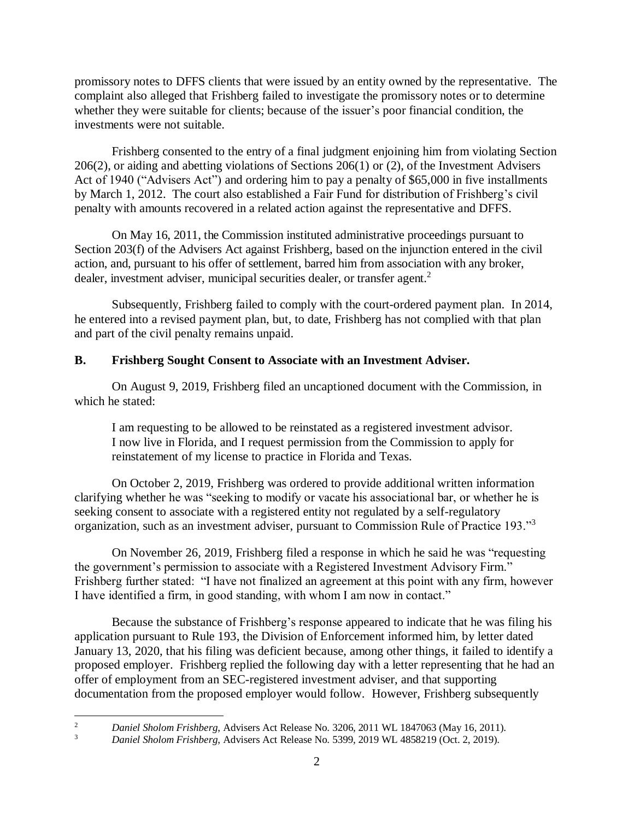promissory notes to DFFS clients that were issued by an entity owned by the representative. The complaint also alleged that Frishberg failed to investigate the promissory notes or to determine whether they were suitable for clients; because of the issuer's poor financial condition, the investments were not suitable.

Frishberg consented to the entry of a final judgment enjoining him from violating Section 206(2), or aiding and abetting violations of Sections 206(1) or (2), of the Investment Advisers Act of 1940 ("Advisers Act") and ordering him to pay a penalty of \$65,000 in five installments by March 1, 2012. The court also established a Fair Fund for distribution of Frishberg's civil penalty with amounts recovered in a related action against the representative and DFFS.

On May 16, 2011, the Commission instituted administrative proceedings pursuant to Section 203(f) of the Advisers Act against Frishberg, based on the injunction entered in the civil action, and, pursuant to his offer of settlement, barred him from association with any broker, dealer, investment adviser, municipal securities dealer, or transfer agent.<sup>2</sup>

Subsequently, Frishberg failed to comply with the court-ordered payment plan. In 2014, he entered into a revised payment plan, but, to date, Frishberg has not complied with that plan and part of the civil penalty remains unpaid.

# **B. Frishberg Sought Consent to Associate with an Investment Adviser.**

On August 9, 2019, Frishberg filed an uncaptioned document with the Commission, in which he stated:

I am requesting to be allowed to be reinstated as a registered investment advisor. I now live in Florida, and I request permission from the Commission to apply for reinstatement of my license to practice in Florida and Texas.

On October 2, 2019, Frishberg was ordered to provide additional written information clarifying whether he was "seeking to modify or vacate his associational bar, or whether he is seeking consent to associate with a registered entity not regulated by a self-regulatory organization, such as an investment adviser, pursuant to Commission Rule of Practice 193."<sup>3</sup>

On November 26, 2019, Frishberg filed a response in which he said he was "requesting the government's permission to associate with a Registered Investment Advisory Firm." Frishberg further stated: "I have not finalized an agreement at this point with any firm, however I have identified a firm, in good standing, with whom I am now in contact."

Because the substance of Frishberg's response appeared to indicate that he was filing his application pursuant to Rule 193, the Division of Enforcement informed him, by letter dated January 13, 2020, that his filing was deficient because, among other things, it failed to identify a proposed employer. Frishberg replied the following day with a letter representing that he had an offer of employment from an SEC-registered investment adviser, and that supporting documentation from the proposed employer would follow. However, Frishberg subsequently

 $\overline{c}$ <sup>2</sup> *Daniel Sholom Frishberg*, Advisers Act Release No. 3206, 2011 WL 1847063 (May 16, 2011).<br><sup>3</sup> *Daniel Sholom Frishberg, Advisers Act Release No.* 5300, 2010 WJ 4858210 (Oct. 2, 2010).

<sup>3</sup> *Daniel Sholom Frishberg*, Advisers Act Release No. 5399, 2019 WL 4858219 (Oct. 2, 2019).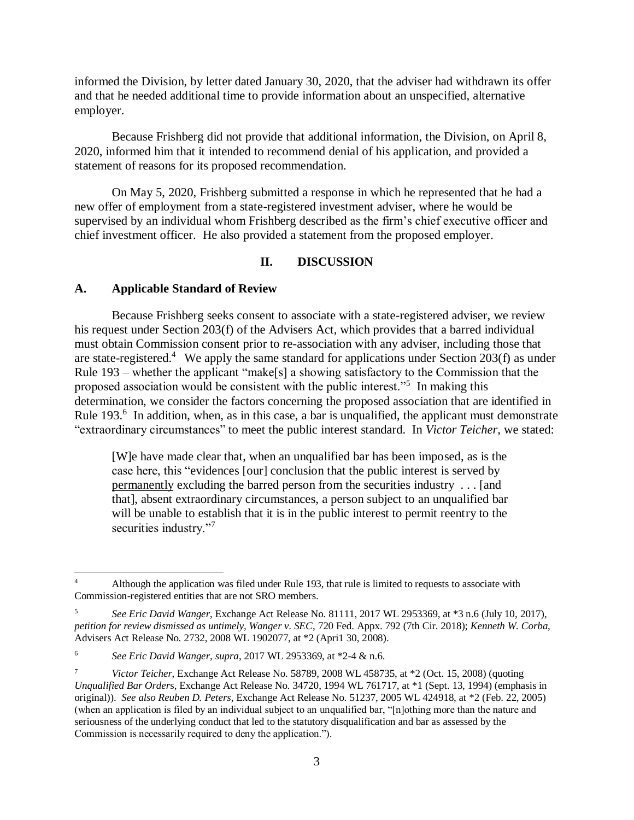informed the Division, by letter dated January 30, 2020, that the adviser had withdrawn its offer and that he needed additional time to provide information about an unspecified, alternative employer.

Because Frishberg did not provide that additional information, the Division, on April 8, 2020, informed him that it intended to recommend denial of his application, and provided a statement of reasons for its proposed recommendation.

On May 5, 2020, Frishberg submitted a response in which he represented that he had a new offer of employment from a state-registered investment adviser, where he would be supervised by an individual whom Frishberg described as the firm's chief executive officer and chief investment officer. He also provided a statement from the proposed employer.

### **II. DISCUSSION**

#### **A. Applicable Standard of Review**

 $\overline{a}$ 

Because Frishberg seeks consent to associate with a state-registered adviser, we review his request under Section 203(f) of the Advisers Act, which provides that a barred individual must obtain Commission consent prior to re-association with any adviser, including those that are state-registered.<sup>4</sup> We apply the same standard for applications under Section 203(f) as under Rule 193 – whether the applicant "make[s] a showing satisfactory to the Commission that the proposed association would be consistent with the public interest."<sup>5</sup> In making this determination, we consider the factors concerning the proposed association that are identified in Rule 193.<sup>6</sup> In addition, when, as in this case, a bar is unqualified, the applicant must demonstrate "extraordinary circumstances" to meet the public interest standard. In *Victor Teicher*, we stated:

[W]e have made clear that, when an unqualified bar has been imposed, as is the case here, this "evidences [our] conclusion that the public interest is served by permanently excluding the barred person from the securities industry . . . [and that], absent extraordinary circumstances, a person subject to an unqualified bar will be unable to establish that it is in the public interest to permit reentry to the securities industry."<sup>7</sup>

<sup>4</sup> Although the application was filed under Rule 193, that rule is limited to requests to associate with Commission-registered entities that are not SRO members.

<sup>5</sup> *See Eric David Wanger*, Exchange Act Release No. 81111, 2017 WL 2953369, at \*3 n.6 (July 10, 2017), *petition for review dismissed as untimely, Wanger v. SEC*, 720 Fed. Appx. 792 (7th Cir. 2018); *Kenneth W. Corba*, Advisers Act Release No. 2732, 2008 WL 1902077, at \*2 (Apri1 30, 2008).

<sup>6</sup> *See Eric David Wanger*, *supra*, 2017 WL 2953369, at \*2-4 & n.6.

<sup>7</sup> *Victor Teicher*, Exchange Act Release No. 58789, 2008 WL 458735, at \*2 (Oct. 15, 2008) (quoting *Unqualified Bar Order*s, Exchange Act Release No. 34720, 1994 WL 761717, at \*1 (Sept. 13, 1994) (emphasis in original)). *See also Reuben D. Peters*, Exchange Act Release No. 51237, 2005 WL 424918, at \*2 (Feb. 22, 2005) (when an application is filed by an individual subject to an unqualified bar, "[n]othing more than the nature and seriousness of the underlying conduct that led to the statutory disqualification and bar as assessed by the Commission is necessarily required to deny the application.").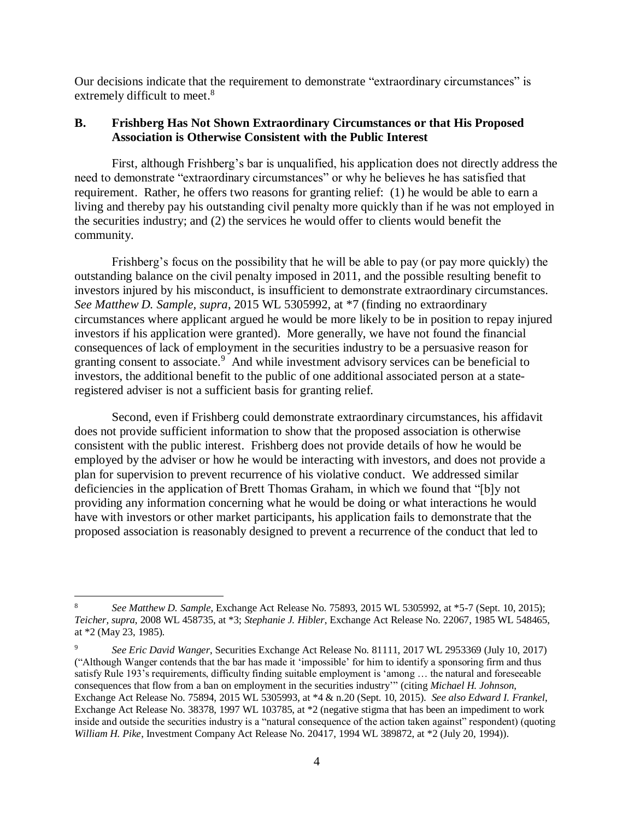Our decisions indicate that the requirement to demonstrate "extraordinary circumstances" is extremely difficult to meet.<sup>8</sup>

### **B. Frishberg Has Not Shown Extraordinary Circumstances or that His Proposed Association is Otherwise Consistent with the Public Interest**

First, although Frishberg's bar is unqualified, his application does not directly address the need to demonstrate "extraordinary circumstances" or why he believes he has satisfied that requirement. Rather, he offers two reasons for granting relief: (1) he would be able to earn a living and thereby pay his outstanding civil penalty more quickly than if he was not employed in the securities industry; and (2) the services he would offer to clients would benefit the community.

Frishberg's focus on the possibility that he will be able to pay (or pay more quickly) the outstanding balance on the civil penalty imposed in 2011, and the possible resulting benefit to investors injured by his misconduct, is insufficient to demonstrate extraordinary circumstances. *See Matthew D. Sample, supra*, 2015 WL 5305992, at \*7 (finding no extraordinary circumstances where applicant argued he would be more likely to be in position to repay injured investors if his application were granted). More generally, we have not found the financial consequences of lack of employment in the securities industry to be a persuasive reason for granting consent to associate.<sup>9</sup> And while investment advisory services can be beneficial to investors, the additional benefit to the public of one additional associated person at a stateregistered adviser is not a sufficient basis for granting relief.

Second, even if Frishberg could demonstrate extraordinary circumstances, his affidavit does not provide sufficient information to show that the proposed association is otherwise consistent with the public interest. Frishberg does not provide details of how he would be employed by the adviser or how he would be interacting with investors, and does not provide a plan for supervision to prevent recurrence of his violative conduct. We addressed similar deficiencies in the application of Brett Thomas Graham, in which we found that "[b]y not providing any information concerning what he would be doing or what interactions he would have with investors or other market participants, his application fails to demonstrate that the proposed association is reasonably designed to prevent a recurrence of the conduct that led to

 $\overline{a}$ 

<sup>8</sup> *See Matthew D. Sample*, Exchange Act Release No. 75893, 2015 WL 5305992, at \*5-7 (Sept. 10, 2015); *Teicher, supra*, 2008 WL 458735, at \*3; *Stephanie J. Hibler*, Exchange Act Release No. 22067, 1985 WL 548465, at \*2 (May 23, 1985).

<sup>9</sup> *See Eric David Wanger*, Securities Exchange Act Release No. 81111, 2017 WL 2953369 (July 10, 2017) ("Although Wanger contends that the bar has made it 'impossible' for him to identify a sponsoring firm and thus satisfy Rule 193's requirements, difficulty finding suitable employment is 'among … the natural and foreseeable consequences that flow from a ban on employment in the securities industry'" (citing *Michael H. Johnson*, Exchange Act Release No. 75894, 2015 WL 5305993, at \*4 & n.20 (Sept. 10, 2015). *See also Edward I. Frankel*, Exchange Act Release No. 38378, 1997 WL 103785, at \*2 (negative stigma that has been an impediment to work inside and outside the securities industry is a "natural consequence of the action taken against" respondent) (quoting *William H. Pike*, Investment Company Act Release No. 20417, 1994 WL 389872, at \*2 (July 20, 1994)).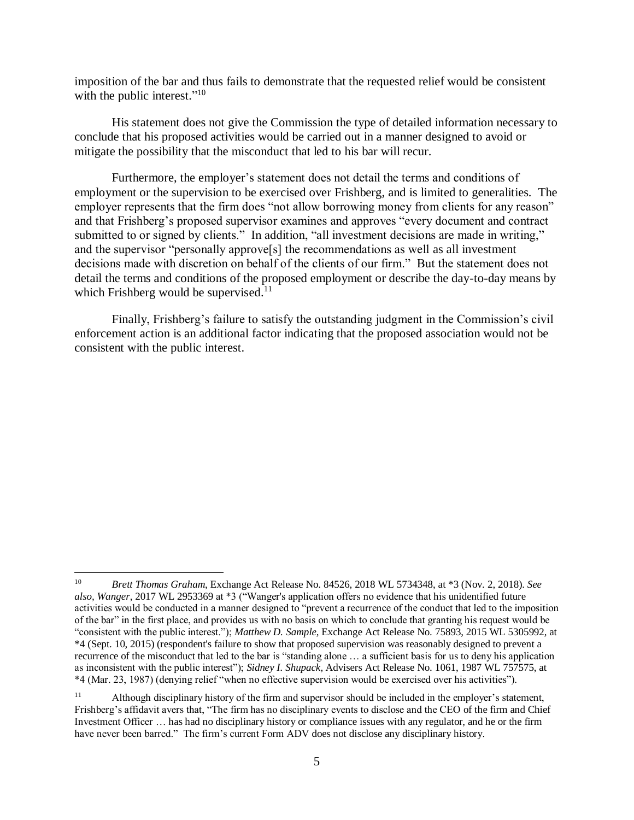imposition of the bar and thus fails to demonstrate that the requested relief would be consistent with the public interest." $10$ 

His statement does not give the Commission the type of detailed information necessary to conclude that his proposed activities would be carried out in a manner designed to avoid or mitigate the possibility that the misconduct that led to his bar will recur.

Furthermore, the employer's statement does not detail the terms and conditions of employment or the supervision to be exercised over Frishberg, and is limited to generalities. The employer represents that the firm does "not allow borrowing money from clients for any reason" and that Frishberg's proposed supervisor examines and approves "every document and contract submitted to or signed by clients." In addition, "all investment decisions are made in writing," and the supervisor "personally approve[s] the recommendations as well as all investment decisions made with discretion on behalf of the clients of our firm." But the statement does not detail the terms and conditions of the proposed employment or describe the day-to-day means by which Frishberg would be supervised.<sup>11</sup>

Finally, Frishberg's failure to satisfy the outstanding judgment in the Commission's civil enforcement action is an additional factor indicating that the proposed association would not be consistent with the public interest.

 $\overline{a}$ 

<sup>10</sup> *Brett Thomas Graham*, Exchange Act Release No. 84526, 2018 WL 5734348, at \*3 (Nov. 2, 2018). *See also, Wanger*, 2017 WL 2953369 at \*3 ("Wanger's application offers no evidence that his unidentified future activities would be conducted in a manner designed to "prevent a recurrence of the conduct that led to the imposition of the bar" in the first place, and provides us with no basis on which to conclude that granting his request would be "consistent with the public interest."); *Matthew D. Sample*, Exchange Act Release No. 75893, 2015 WL 5305992, at \*4 (Sept. 10, 2015) (respondent's failure to show that proposed supervision was reasonably designed to prevent a recurrence of the misconduct that led to the bar is "standing alone … a sufficient basis for us to deny his application as inconsistent with the public interest"); *Sidney I. Shupack*, Advisers Act Release No. 1061, 1987 WL 757575, at \*4 (Mar. 23, 1987) (denying relief "when no effective supervision would be exercised over his activities").

<sup>&</sup>lt;sup>11</sup> Although disciplinary history of the firm and supervisor should be included in the employer's statement, Frishberg's affidavit avers that, "The firm has no disciplinary events to disclose and the CEO of the firm and Chief Investment Officer … has had no disciplinary history or compliance issues with any regulator, and he or the firm have never been barred." The firm's current Form ADV does not disclose any disciplinary history.